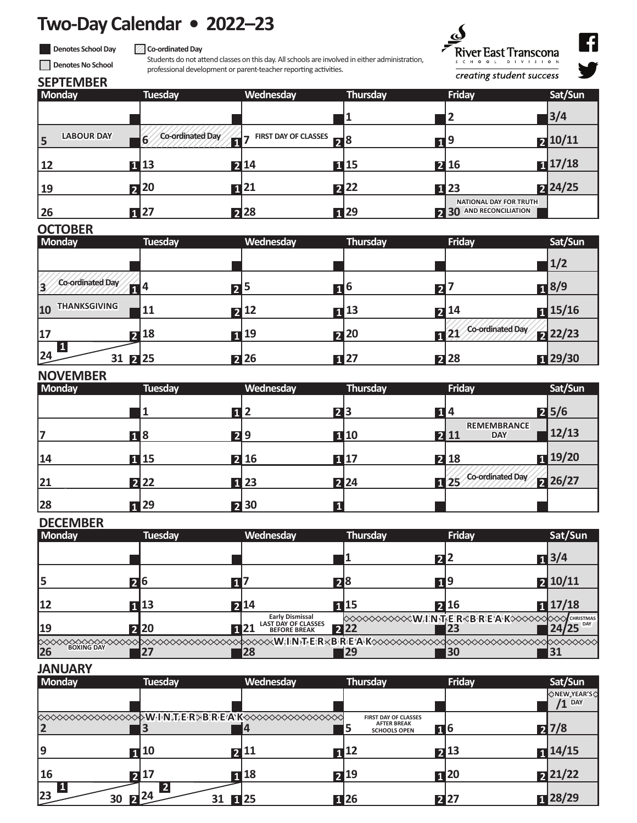## **Two-Day Calendar • 2022–23**

**Denotes School Day** 

#### **Co-ordinated Day**

Students do not attend classes on this day. All schools are involved in either administration, professional development or parent-teacher reporting activities.



creating student success

q V

## **SEPTEMBER Denotes No School**

| <b>Monday</b>           | <b>Tuesday</b>        | Wednesday                                     | Thursday        | Friday                                                            | Sat/Sun              |
|-------------------------|-----------------------|-----------------------------------------------|-----------------|-------------------------------------------------------------------|----------------------|
|                         |                       |                                               | ۰ı.             |                                                                   | $3/4$                |
| <b>LABOUR DAY</b><br>15 | Co-ordinated Day<br>6 | <b>FIRST DAY OF CLASSES</b><br>$\blacksquare$ | 78              | п 9                                                               | 210/11               |
| 12                      | $\blacksquare$ 13     | 214                                           | 1115            | 2 16                                                              | $\blacksquare$ 17/18 |
| <b>19</b>               | 20                    | 21<br>$\mathbf{1}$                            | $\mathbf{z}$ 22 | $\Pi$ 23                                                          | 24/25                |
| 26                      | $\sqrt{1}$ 27         | <b>228</b>                                    | <b>n</b> 29     | <b>NATIONAL DAY FOR TRUTH</b><br><b>AND RECONCILIATION</b><br>230 |                      |

#### **OCTOBER**

| <b>Monday</b>                | <b>Tuesday</b> | Wednesday                     | Thursday          | <b>Friday</b>                                | Sat/Sun            |
|------------------------------|----------------|-------------------------------|-------------------|----------------------------------------------|--------------------|
|                              |                |                               |                   |                                              | 1/2                |
| <b>Co-ordinated Day</b><br>3 | П <sup>4</sup> | ר ا<br>כ                      | b                 | $\mathbf{z}$                                 | $\blacksquare$ 8/9 |
| <b>THANKSGIVING</b><br>10    | 11             | 712                           | $\blacksquare$ 13 | $\mathbf{Z}$ 14                              | $\sqrt{15/16}$     |
| 17                           | $2^{18}$       | 19<br>$\overline{\mathbf{1}}$ | 20                | <b>Co-ordinated Day</b><br>$\mathbf{E}^{21}$ | <b>22/23</b>       |
| 24                           | $31 \ 2 \ 25$  | <b>2</b> 26                   | $\blacksquare$ 27 | 228                                          | 129/30             |

#### **NOVEMBER**

| .<br><b>Monday</b> | <b>Tuesday</b>    | Wednesday         | Thursday          | Friday                                   | Sat/Sun        |
|--------------------|-------------------|-------------------|-------------------|------------------------------------------|----------------|
|                    |                   | $\mathbf{1}$      | 23                | 14                                       | 25/6           |
|                    | <b>18</b>         | 29                | $\blacksquare$ 10 | <b>REMEMBRANCE</b><br>2 11<br><b>DAY</b> | 12/13          |
| 14                 | $\blacksquare$ 15 | $\overline{2}$ 16 | $\blacksquare$ 17 | <b>2</b> 18                              | $\sqrt{19/20}$ |
| 21                 | $2^{22}$          | $\blacksquare$ 23 | 224               | Co-ordinated Day<br>$\blacksquare$ 25    | 26/27          |
| 28                 | $\blacksquare$ 29 | 230               |                   |                                          |                |

## **DECEMBER**

| <b>Monday</b> | <b>Tuesday</b> | Wednesday                                                                           | Thursday   | Friday     | Sat/Sun            |
|---------------|----------------|-------------------------------------------------------------------------------------|------------|------------|--------------------|
|               |                |                                                                                     |            |            | $\blacksquare$ 3/4 |
|               |                |                                                                                     |            |            | 210/11             |
|               | 20             |                                                                                     | 28         | 119        |                    |
| 12            | 113            | 714                                                                                 | T115       | 716        | $\sqrt{17/18}$     |
| 19            | <b>220</b>     | <b>Early Dismissal</b><br><b>LAST DAY OF CLASSES</b><br>1 21<br><b>BEFORE BREAK</b> | <b>224</b> |            | 24/25 DAY          |
| 26            |                | 28                                                                                  |            | <b>B</b> O | 31                 |

## **JANUARY**

| <b>Monday</b> | <b>Tuesday</b>          | Wednesday               | <b>Thursday</b>                                                          | Friday              | Sat/Sun                        |
|---------------|-------------------------|-------------------------|--------------------------------------------------------------------------|---------------------|--------------------------------|
|               |                         |                         |                                                                          |                     | <b>ONEW,YEAR'S</b><br>$/1$ DAY |
|               |                         |                         | <b>FIRST DAY OF CLASSES</b><br><b>AFTER BREAK</b><br><b>SCHOOLS OPEN</b> | <b>п</b> 6          | 7/8                            |
| ۱q            | $\blacksquare$ 10       | $7^{11}$                | $\Pi$ <sup>12</sup>                                                      | $\mathbf{Z}^{13}$   | $\sqrt{14/15}$                 |
| 16            | ุ ว 17                  | $\Pi$ 18                | $7^{19}$                                                                 | $\Pi$ <sup>20</sup> | 21/22                          |
| 23            | $\mathbf{Z}^{24}$<br>30 | $\blacksquare$ 25<br>31 | $\blacksquare$ 26                                                        | 227                 | $\sqrt{28/29}$                 |